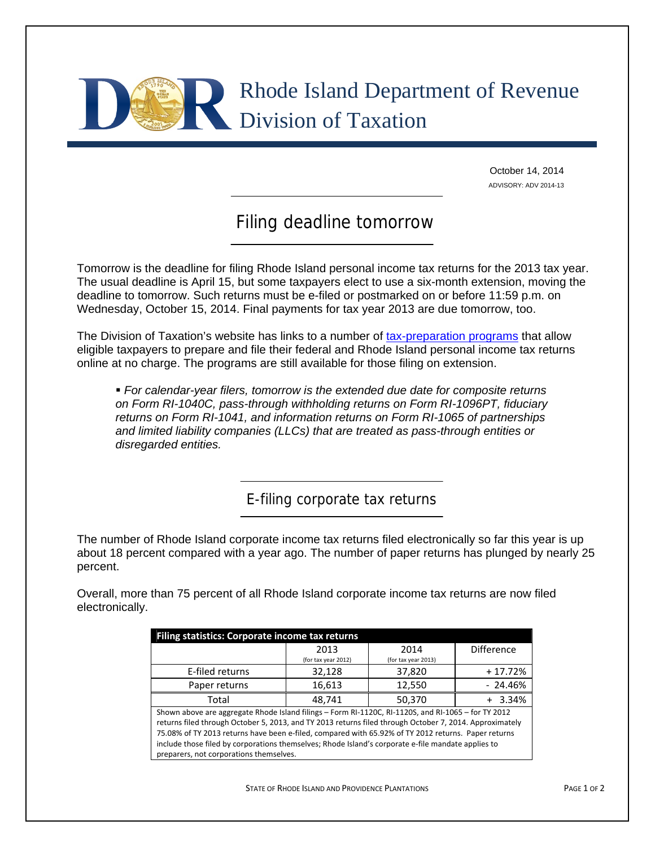

October 14, 2014 ADVISORY: ADV 2014-13

## Filing deadline tomorrow

Tomorrow is the deadline for filing Rhode Island personal income tax returns for the 2013 tax year. The usual deadline is April 15, but some taxpayers elect to use a six-month extension, moving the deadline to tomorrow. Such returns must be e-filed or postmarked on or before 11:59 p.m. on Wednesday, October 15, 2014. Final payments for tax year 2013 are due tomorrow, too.

The Division of Taxation's website has links to a number of [tax-preparation programs](http://www.tax.ri.gov/misc/efile.php) that allow eligible taxpayers to prepare and file their federal and Rhode Island personal income tax returns online at no charge. The programs are still available for those filing on extension.

 *For calendar-year filers, tomorrow is the extended due date for composite returns on Form RI-1040C, pass-through withholding returns on Form RI-1096PT, fiduciary returns on Form RI-1041, and information returns on Form RI-1065 of partnerships and limited liability companies (LLCs) that are treated as pass-through entities or disregarded entities.* 

E-filing corporate tax returns

The number of Rhode Island corporate income tax returns filed electronically so far this year is up about 18 percent compared with a year ago. The number of paper returns has plunged by nearly 25 percent.

Overall, more than 75 percent of all Rhode Island corporate income tax returns are now filed electronically.

| Filing statistics: Corporate income tax returns                                                         |                     |                     |                   |
|---------------------------------------------------------------------------------------------------------|---------------------|---------------------|-------------------|
|                                                                                                         | 2013                | 2014                | <b>Difference</b> |
|                                                                                                         | (for tax year 2012) | (for tax year 2013) |                   |
| E-filed returns                                                                                         | 32,128              | 37,820              | $+17.72%$         |
| Paper returns                                                                                           | 16,613              | 12,550              | $-24.46%$         |
| Total                                                                                                   | 48.741              | 50,370              | 3.34%             |
| Shown above are aggregate Rhode Island filings - Form RI-1120C, RI-1120S, and RI-1065 - for TY 2012     |                     |                     |                   |
| returns filed through October 5, 2013, and TY 2013 returns filed through October 7, 2014. Approximately |                     |                     |                   |
| 75.08% of TY 2013 returns have been e-filed, compared with 65.92% of TY 2012 returns. Paper returns     |                     |                     |                   |
| include those filed by corporations themselves; Rhode Island's corporate e-file mandate applies to      |                     |                     |                   |
| preparers, not corporations themselves.                                                                 |                     |                     |                   |